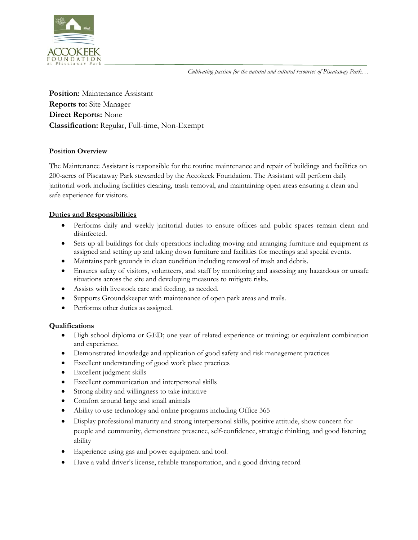*Cultivating passion for the natural and cultural resources of Piscataway Park…*



**Position:** Maintenance Assistant **Reports to:** Site Manager **Direct Reports:** None **Classification:** Regular, Full-time, Non-Exempt

# **Position Overview**

The Maintenance Assistant is responsible for the routine maintenance and repair of buildings and facilities on 200-acres of Piscataway Park stewarded by the Accokeek Foundation. The Assistant will perform daily janitorial work including facilities cleaning, trash removal, and maintaining open areas ensuring a clean and safe experience for visitors.

# **Duties and Responsibilities**

- Performs daily and weekly janitorial duties to ensure offices and public spaces remain clean and disinfected.
- Sets up all buildings for daily operations including moving and arranging furniture and equipment as assigned and setting up and taking down furniture and facilities for meetings and special events.
- Maintains park grounds in clean condition including removal of trash and debris.
- Ensures safety of visitors, volunteers, and staff by monitoring and assessing any hazardous or unsafe situations across the site and developing measures to mitigate risks.
- Assists with livestock care and feeding, as needed.
- Supports Groundskeeper with maintenance of open park areas and trails.
- Performs other duties as assigned.

### **Qualifications**

- High school diploma or GED; one year of related experience or training; or equivalent combination and experience.
- Demonstrated knowledge and application of good safety and risk management practices
- Excellent understanding of good work place practices
- Excellent judgment skills
- Excellent communication and interpersonal skills
- Strong ability and willingness to take initiative
- Comfort around large and small animals
- Ability to use technology and online programs including Office 365
- Display professional maturity and strong interpersonal skills, positive attitude, show concern for people and community, demonstrate presence, self-confidence, strategic thinking, and good listening ability
- Experience using gas and power equipment and tool.
- Have a valid driver's license, reliable transportation, and a good driving record